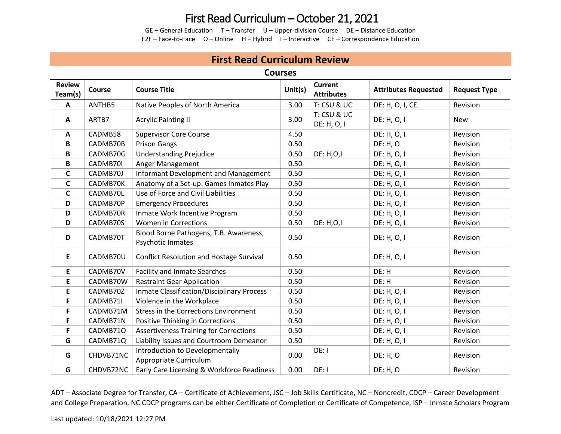# First Read Curriculum – October 21, 2021

GE – General Education T – Transfer U – Upper-division Course DE – Distance Education F2F – Face-to-Face O – Online H – Hybrid I – Interactive CE – Correspondence Education

## **First Read Curriculum Review**

#### **Courses**

| <b>Review</b><br>Team(s) | Course    | <b>Course Title</b>                                         | Unit(s) | <b>Current</b><br><b>Attributes</b>   | <b>Attributes Requested</b> | <b>Request Type</b> |
|--------------------------|-----------|-------------------------------------------------------------|---------|---------------------------------------|-----------------------------|---------------------|
| A                        | ANTHB5    | Native Peoples of North America                             | 3.00    | T: CSU & UC                           | DE: H, O, I, CE             | Revision            |
| A                        | ARTB7     | <b>Acrylic Painting II</b>                                  | 3.00    | <b>T: CSU &amp; UC</b><br>DE: H, O, I | DE: H, O, I                 | <b>New</b>          |
| A                        | CADMB58   | <b>Supervisor Core Course</b>                               | 4.50    |                                       | DE: H, O, I                 | Revision            |
| В                        | CADMB70B  | <b>Prison Gangs</b>                                         | 0.50    |                                       | <b>DE: H, O</b>             | Revision            |
| В                        | CADMB70G  | <b>Understanding Prejudice</b>                              | 0.50    | <b>DE: H,O,I</b>                      | DE: H, O, I                 | Revision            |
| В                        | CADMB70I  | Anger Management                                            | 0.50    |                                       | DE: H, O, I                 | Revision            |
| C                        | CADMB70J  | <b>Informant Development and Management</b>                 | 0.50    |                                       | DE: H, O, I                 | Revision            |
| C                        | CADMB70K  | Anatomy of a Set-up: Games Inmates Play                     | 0.50    |                                       | DE: H, O, I                 | Revision            |
| $\mathsf{C}$             | CADMB70L  | Use of Force and Civil Liabilities                          | 0.50    |                                       | DE: H, O, I                 | Revision            |
| D                        | CADMB70P  | <b>Emergency Procedures</b>                                 | 0.50    |                                       | DE: H, O, I                 | Revision            |
| D                        | CADMB70R  | Inmate Work Incentive Program                               | 0.50    |                                       | DE: H, O, I                 | Revision            |
| D                        | CADMB70S  | <b>Women in Corrections</b>                                 | 0.50    | <b>DE: H,O,I</b>                      | DE: H, O, I                 | Revision            |
| D                        | CADMB70T  | Blood Borne Pathogens, T.B. Awareness,<br>Psychotic Inmates | 0.50    |                                       | DE: H, O, I                 | Revision            |
| E                        | CADMB70U  | <b>Conflict Resolution and Hostage Survival</b>             | 0.50    |                                       | DE: H, O, I                 | Revision            |
| E                        | CADMB70V  | <b>Facility and Inmate Searches</b>                         | 0.50    |                                       | DE: H                       | Revision            |
| E                        | CADMB70W  | <b>Restraint Gear Application</b>                           | 0.50    |                                       | DE: H                       | Revision            |
| E                        | CADMB70Z  | <b>Inmate Classification/Disciplinary Process</b>           | 0.50    |                                       | DE: H, O, I                 | Revision            |
| F                        | CADMB71I  | Violence in the Workplace                                   | 0.50    |                                       | DE: H, O, I                 | Revision            |
| F                        | CADMB71M  | <b>Stress in the Corrections Environment</b>                | 0.50    |                                       | DE: H, O, I                 | Revision            |
| F                        | CADMB71N  | Positive Thinking in Corrections                            | 0.50    |                                       | DE: H, O, I                 | Revision            |
| F                        | CADMB710  | <b>Assertiveness Training for Corrections</b>               | 0.50    |                                       | DE: H, O, I                 | Revision            |
| G                        | CADMB71Q  | Liability Issues and Courtroom Demeanor                     | 0.50    |                                       | DE: H, O, I                 | Revision            |
| G                        | CHDVB71NC | Introduction to Developmentally<br>Appropriate Curriculum   | 0.00    | DE: I                                 | <b>DE: H, O</b>             | Revision            |
| G                        | CHDVB72NC | Early Care Licensing & Workforce Readiness                  | 0.00    | DE: I                                 | <b>DE: H, O</b>             | Revision            |

ADT – Associate Degree for Transfer, CA – Certificate of Achievement, JSC – Job Skills Certificate, NC – Noncredit, CDCP – Career Development and College Preparation, NC CDCP programs can be either Certificate of Completion or Certificate of Competence, ISP – Inmate Scholars Program